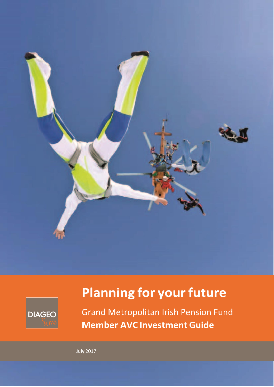



# **Planning for your future**

**Grand Metropolitan Irish Pension Fund Member AVC Investment Guide** 

**July 2017**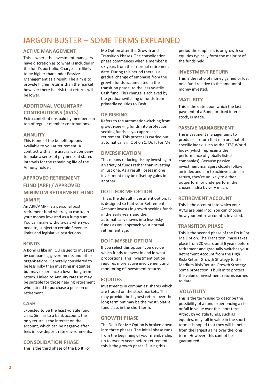## JARGON BUSTER – SOME TERMS EXPLAINED

#### **ACTIVE MANAGEMENT**

This is where the investment managers have discretion as to what is included in the fund's portfolio. Charges are likely to be higher than under Passive Management as a result. The aim is to provide higher returns than the market however there is a risk that returns will be lower.

## **ADDITIONAL VOLUNTARY CONTRIBUTIONS (AVCs)**

Extra contributions paid by members on top of regular member contributions.

#### **ANNUITY**

This is one of the benefit options available to you at retirement. A contract with a life assurance company to make a series of payments at stated intervals for the remaining life of the Annuity holder.

## **APPROVED RETIREMENT FUND (ARF) / APPROVED MINIMUM RETIREMENT FUND (AMRF)**

An ARF/AMRF is a personal post retirement fund where you can keep your money invested as a lump sum. You can make withdrawals when you need to, subject to certain Revenue limits and legislative restrictions.

#### **BONDS**

A Bond is like an IOU issued to investors by companies, governments and other organisations. Generally considered to be less risky than investing in equities but may experience a lower long term return. Linked to Annuity rates so may be suitable for those nearing retirement who intend to purchase a pension on retirement.

#### **CASH**

Expected to be the least volatile fund class. Similar to a bank account, the only return is the interest on the account, which can be negative after fees in low deposit rate environments.

#### **CONSOLIDATION PHASE**

This is the third phase of the Do It For

Me Option after the Growth and Transition Phases. The consolidation phase commences when a member is six years from their normal retirement date. During this period there is a gradual change of emphasis from the growth funds accumulated in the transition phase, to the less volatile Cash fund. This change is achieved by the gradual switching of funds from primarily equities to Cash.

#### **DE-RISKING**

Refers to the automatic switching from growth-seeking funds into protection seeking funds as you approach retirement. This process is carried out automatically in Option 1, Do It For Me.

#### **DIVERSIFICATION**

This means reducing risk by investing in a variety of funds rather than investing in just one. As a result, losses in one investment may be offset by gains in another.

#### **DO IT FOR ME OPTION**

This is the default investment option. It is designed so that your Retirement Account invests in growth seeking funds in the early years and then automatically moves into less risky funds as you approach your normal retirement age.

### **DO IT MYSELF OPTION**

If you select this option, you decide which funds to invest in and in what proportions. This investment option requires more active involvement and monitoring of investment returns.

#### **EQUITIES**

Investments in companies' shares which are traded on the stock markets. This may provide the highest return over the long term but may be the most volatile fund class in the short term.

#### **GROWTH PHASE**

The Do It For Me Option is broken down into three phases. The initial phase runs from the beginning of your membership up to twenty years before retirement, this is the growth phase. During this

period the emphasis is on growth so equities typically form the majority of the funds held.

#### **INVESTMENT RETURN**

This is the ratio of money gained or lost on a fund relative to the amount of money invested.

#### **MATURITY**

This is the date upon which the last payment of a Bond, or fixed interest stock, is made.

#### **PASSIVE MANAGEMENT**

The investment manager aims to produce a return that mirrors that of specific index, such as the FTSE World Index (which represents the performance of globally listed companies). Because passive investment managers closely follow an index and aim to achieve a similar return, they're unlikely to either outperform or underperform their chosen index by very much.

#### **RETIREMENT ACCOUNT**

This is the account into which your AVCs are paid into. You can choose how your entire account is invested.

#### **TRANSITION PHASE**

This is the second phase of the Do It For Me Option. The Transition Phase takes place from 20 years until 6 years before retirement and gradually switches your Retirement Account from the High Risk/Return Growth Strategy to the Medium Risk/Return Growth Strategy. Some protection is built in to protect the value of investment returns earned to date.

#### **VOLATILITY**

This is the term used to describe the possibility of a fund experiencing a rise or fall in value over the short term. Although volatile funds, such as equities, may fall in value in the short term it is hoped that they will benefit from the largest gains over the long term. However, this cannot be guaranteed.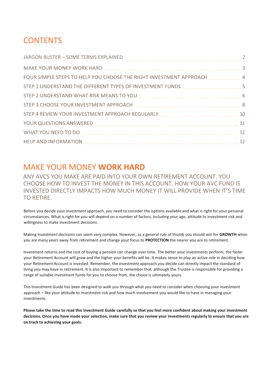## **CONTENTS**

| FOUR SIMPLE STEPS TO HELP YOU CHOOSE THE RIGHT INVESTMENT APPROACH [  4                                                                                                                                                        |  |
|--------------------------------------------------------------------------------------------------------------------------------------------------------------------------------------------------------------------------------|--|
|                                                                                                                                                                                                                                |  |
|                                                                                                                                                                                                                                |  |
| STEP 3 CHOOSE YOUR INVESTMENT APPROACH MARIEM MARIEM MARIEM MARIEM 8                                                                                                                                                           |  |
|                                                                                                                                                                                                                                |  |
| YOUR QUESTIONS ANSWERED MARKER AND MALL AND MARKED MARKED MARKED MARKED MARKED MARKED MARKED MARKED MARKED MARKED MARKED MARKED MARKED MARKED MARKED MARKED MARKED MARKED MARKED MARKED MARKED MARKED MARKED MARKED MARKED MAR |  |
|                                                                                                                                                                                                                                |  |
|                                                                                                                                                                                                                                |  |

## MAKE YOUR MONEY **WORK HARD**

ANY AVCS YOU MAKE ARE PAID INTO YOUR OWN RETIREMENT ACCOUNT. YOU CHOOSE HOW TO INVEST THE MONEY IN THIS ACCOUNT. HOW YOUR AVC FUND IS INVESTED DIRECTLY IMPACTS HOW MUCH MONEY IT WILL PROVIDE WHEN IT'S TIME TO RETIRE.

Before you decide your investment approach, you need to consider the options available and what is right for your personal circumstances. What is right for you will depend on a number of factors, including your age, attitude to investment risk and willingness to make investment decisions.

Making investment decisions can seem very complex. However, as a general rule of thumb you should aim for **GROWTH** when you are many years away from retirement and change your focus to **PROTECTION** the nearer you are to retirement.

Investment returns and the cost of buying a pension can change over time. The better your investments perform, the faster your Retirement Account will grow and the higher your benefits will be. It makes sense to play an active role in deciding how your Retirement Account is invested. Remember, the investment approach you decide can directly impact the standard of living you may have in retirement. It is also important to remember that, although the Trustee is responsible for providing a range of suitable investment funds for you to choose from, the choice is ultimately yours.

This Investment Guide has been designed to walk you through what you need to consider when choosing your investment approach – like your attitude to investment risk and how much involvement you would like to have in managing your investments.

**Please take the time to read this Investment Guide carefully so that you feel more confident about making your investment decisions. Once you have made your selection, make sure that you review your investments regularly to ensure that you are on track to achieving your goals.**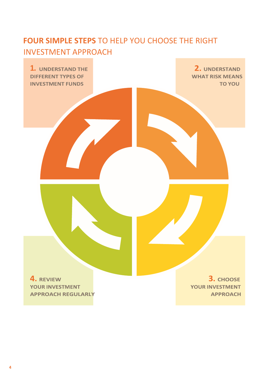## **FOUR SIMPLE STEPS** TO HELP YOU CHOOSE THE RIGHT INVESTMENT APPROACH

**1.** UNDERSTAND THE **1.** UNDERSTAND **1.** UNDERSTAND **1.** UNDERSTAND **INVESTMENT FUNDS** 

**TO YOU** 

**4. REVIEW YOUR INVESTMENT APPROACH REGULARLY** 

3. CHOOSE **YOUR INVESTMENT APPROACH**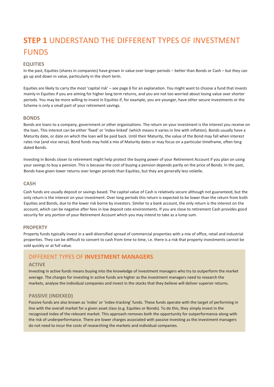## **STEP 1** UNDERSTAND THE DIFFERENT TYPES OF INVESTMENT FUNDS

#### **EQUITIES**

In the past, Equities (shares in companies) have grown in value over longer periods – better than Bonds or Cash – but they can go up and down in value, particularly in the short term.

Equities are likely to carry the most 'capital risk' – see page 6 for an explanation. You might want to choose a fund that invests mainly in Equities if you are aiming for higher long term returns, and you are not too worried about losing value over shorter periods. You may be more willing to invest in Equities if, for example, you are younger, have other secure investments or the Scheme is only a small part of your retirement savings.

#### **BONDS**

Bonds are loans to a company, government or other organisations. The return on your investment is the interest you receive on the loan. This interest can be either 'fixed' or 'index-linked' (which means it varies in line with inflation). Bonds usually have a Maturity date, or date on which the loan will be paid back. Until their Maturity, the value of the Bond may fall when interest rates rise (and vice versa). Bond funds may hold a mix of Maturity dates or may focus on a particular timeframe, often long dated Bonds.

Investing in Bonds closer to retirement might help protect the buying power of your Retirement Account if you plan on using your savings to buy a pension. This is because the cost of buying a pension depends partly on the price of Bonds. In the past, Bonds have given lower returns over longer periods than Equities, but they are generally less volatile.

#### **CASH**

Cash funds are usually deposit or savings based. The capital value of Cash is relatively secure although not guaranteed, but the only return is the interest on your investment. Over long periods this return is expected to be lower than the return from both Equities and Bonds, due to the lower risk borne by investors. Similar to a bank account, the only return is the interest on the account, which can be negative after fees in low deposit rate environments. If you are close to retirement Cash provides good security for any portion of your Retirement Account which you may intend to take as a lump sum.

#### **PROPERTY**

Property funds typically invest in a well-diversified spread of commercial properties with a mix of office, retail and industrial properties. They can be difficult to convert to cash from time to time, i.e. there is a risk that property investments cannot be sold quickly or at full value.

### DIFFERENT TYPES OF **INVESTMENT MANAGERS**

#### **ACTIVE**

Investing in active funds means buying into the knowledge of investment managers who try to outperform the market average. The charges for investing in active funds are higher as the investment managers need to research the markets, analyse the individual companies and invest in the stocks that they believe will deliver superior returns.

#### **PASSIVE (INDEXED)**

Passive funds are also known as 'index' or 'index-tracking' funds. These funds operate with the target of performing in line with the overall market for a given asset class (e.g. Equities or Bonds). To do this, they simply invest in the recognised index of the relevant market. This approach removes both the opportunity for outperformance along with the risk of underperformance. There are lower charges associated with passive investing as the investment managers do not need to incur the costs of researching the markets and individual companies.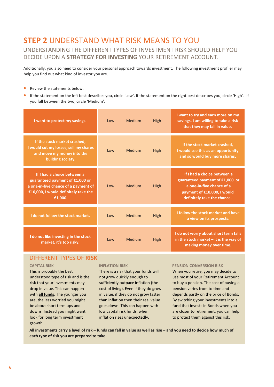## **STEP 2** UNDERSTAND WHAT RISK MEANS TO YOU UNDERSTANDING THE DIFFERENT TYPES OF INVESTMENT RISK SHOULD HELP YOU DECIDE UPON A **STRATEGY FOR INVESTING** YOUR RETIREMENT ACCOUNT.

Additionally, you also need to consider your personal approach towards investment. The following investment profiler may help you find out what kind of investor you are.

- **•** Review the statements below.
- **•** If the statement on the left best describes you, circle 'Low'. If the statement on the right best describes you, circle 'High'. If you fall between the two, circle 'Medium'.

| I want to protect my savings.                                                                                                                               | $1$ OW | Medium | High | I want to try and earn more on my<br>savings. I am willing to take a risk<br>that they may fall in value.                                                 |
|-------------------------------------------------------------------------------------------------------------------------------------------------------------|--------|--------|------|-----------------------------------------------------------------------------------------------------------------------------------------------------------|
| If the stock market crashed,<br>I would cut my losses, sell my shares<br>and move my money into the<br>building society.                                    | $1$ OW | Medium | High | If the stock market crashed,<br>I would see this as an opportunity<br>and so would buy more shares.                                                       |
| If I had a choice between a<br>guaranteed payment of $£1,000$ or<br>a one-in-five chance of a payment of<br>€10,000, I would definitely take the<br>€1,000. | $1$ OW | Medium | High | If I had a choice between a<br>guaranteed payment of €1,000 or<br>a one-in-five chance of a<br>payment of €10,000, I would<br>definitely take the chance. |
| I do not follow the stock market.                                                                                                                           | Low    | Medium | High | I follow the stock market and have<br>a view on its prospects.                                                                                            |
| I do not like investing in the stock<br>market, it's too risky.                                                                                             | Low    | Medium | High | I do not worry about short term falls<br>in the stock market $-$ it is the way of<br>making money over time.                                              |

## DIFFERENT TYPES OF **RISK**

#### **CAPITAL RISK**

This is probably the best understood type of risk and is the risk that your investments may drop in value. This can happen with **all funds**. The younger you are, the less worried you might be about short term ups and downs. Instead you might want look for long term investment growth.

#### **INFLATION RISK**

There is a risk that your funds will not grow quickly enough to sufficiently outpace inflation (the cost of living). Even if they do grow in value, if they do not grow faster than inflation then their real value goes down. This can happen with low capital risk funds, when inflation rises unexpectedly.

#### **PENSION CONVERSION RISK**

When you retire, you may decide to use most of your Retirement Account to buy a pension. The cost of buying a pension varies from to time and depends partly on the price of Bonds. By switching your investments into a fund that invests in Bonds when you are closer to retirement, you can help to protect them against this risk.

**All investments carry a level of risk – funds can fall in value as well as rise – and you need to decide how much of each type of risk you are prepared to take.**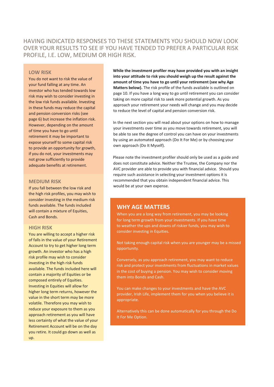## HAVING INDICATED RESPONSES TO THESE STATEMENTS YOU SHOULD NOW LOOK OVER YOUR RESULTS TO SEE IF YOU HAVE TENDED TO PREFER A PARTICULAR RISK PROFILE, I.E. LOW, MEDIUM OR HIGH RISK.

#### **LOW RISK**

You do not want to risk the value of your fund falling at any time. An investor who has tended towards low risk may wish to consider investing in the low risk funds available. Investing in these funds may reduce the capital and pension conversion risks (see page 6) but increase the inflation risk. However, depending on the amount of time you have to go until retirement it may be important to expose yourself to some capital risk to provide an opportunity for growth, if you do not, your investments may not grow sufficiently to provide adequate benefits at retirement.

#### **MEDIUM RISK**

If you fall between the low risk and the high risk profiles, you may wish to consider investing in the medium risk funds available. The funds included will contain a mixture of Equities, Cash and Bonds.

#### **HIGH RISK**

You are willing to accept a higher risk of falls in the value of your Retirement Account to try to get higher long term growth. An investor who has a high risk profile may wish to consider investing in the high risk funds available. The funds included here will contain a majority of Equities or be composed entirely of Equities. Investing in Equities will allow for higher long term returns, however the value in the short term may be more volatile. Therefore you may wish to reduce your exposure to them as you approach retirement as you will have less certainty of what the value of your Retirement Account will be on the day you retire. It could go down as well as up.

**While the investment profiler may have provided you with an insight into your attitude to risk you should weigh up the result against the amount of time you have to go until your retirement (see why Age Matters below).** The risk profile of the funds available is outlined on page 10. If you have a long way to go until retirement you can consider taking on more capital risk to seek more potential growth. As you approach your retirement your needs will change and you may decide to reduce the level of capital and pension conversion risk.

In the next section you will read about your options on how to manage your investments over time as you move towards retirement, you will be able to see the degree of control you can have on your investments by using an automated approach (Do It For Me) or by choosing your own approach (Do It Myself).

Please note the investment profiler should only be used as a guide and does not constitute advice. Neither the Trustee, the Company nor the AVC provider are able to provide you with financial advice. Should you require such assistance in selecting your investment options it is recommended that you obtain independent financial advice. This would be at your own expense.

#### **WHY AGE MATTERS**

When you are a long way from retirement, you may be looking for long term growth from your investments. If you have time to weather the ups and downs of riskier funds, you may wish to consider investing in Equities.

Not taking enough capital risk when you are younger may be a missed opportunity.

Conversely, as you approach retirement, you may want to reduce risk and protect your investments from fluctuations in market values in the cost of buying a pension. You may wish to consider moving them into Bonds and Cash.

You can make changes to your investments and have the AVC provider, Irish Life, implement them for you when you believe it is appropriate.

Alternatively this can be done automatically for you through the Do It For Me Option.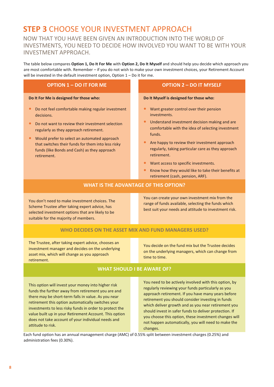## **STEP 3** CHOOSE YOUR INVESTMENT APPROACH

## NOW THAT YOU HAVE BEEN GIVEN AN INTRODUCTION INTO THE WORLD OF INVESTMENTS, YOU NEED TO DECIDE HOW INVOLVED YOU WANT TO BE WITH YOUR INVESTMENT APPROACH.

The table below compares **Option 1, Do It For Me** with **Option 2, Do It Myself** and should help you decide which approach you are most comfortable with. Remember – if you do not wish to make your own investment choices, your Retirement Account will be invested in the default investment option, Option 1 – Do it for me.

| <b>OPTION 1 - DO IT FOR ME</b>                                                                                                                                                                                                                                                                                                     | <b>OPTION 2 - DO IT MYSELF</b>                                                                                                                                                                                                                                                                                                                                                                                                                            |  |  |  |  |
|------------------------------------------------------------------------------------------------------------------------------------------------------------------------------------------------------------------------------------------------------------------------------------------------------------------------------------|-----------------------------------------------------------------------------------------------------------------------------------------------------------------------------------------------------------------------------------------------------------------------------------------------------------------------------------------------------------------------------------------------------------------------------------------------------------|--|--|--|--|
| Do It For Me is designed for those who:                                                                                                                                                                                                                                                                                            | Do It Myself is designed for those who:                                                                                                                                                                                                                                                                                                                                                                                                                   |  |  |  |  |
| Do not feel comfortable making regular investment<br>decisions.<br>Do not want to review their investment selection<br>regularly as they approach retirement.<br>Would prefer to select an automated approach<br>that switches their funds for them into less risky<br>funds (like Bonds and Cash) as they approach<br>retirement. | Want greater control over their pension<br>investments.<br>Understand investment decision making and are<br>$\bullet$<br>comfortable with the idea of selecting investment<br>funds.<br>$\bullet$<br>Are happy to review their investment approach<br>regularly, taking particular care as they approach<br>retirement.<br>Want access to specific investments.<br>Know how they would like to take their benefits at<br>retirement (cash, pension, ARF). |  |  |  |  |
| <b>WHAT IS THE ADVANTAGE OF THIS OPTION?</b>                                                                                                                                                                                                                                                                                       |                                                                                                                                                                                                                                                                                                                                                                                                                                                           |  |  |  |  |
| You don't need to make investment choices. The<br>Scheme Trustee after taking expert advice, has<br>selected investment options that are likely to be<br>suitable for the majority of members.                                                                                                                                     | You can create your own investment mix from the<br>range of funds available, selecting the funds which<br>best suit your needs and attitude to investment risk.                                                                                                                                                                                                                                                                                           |  |  |  |  |
| WHO DECIDES ON THE ASSET MIX AND FUND MANAGERS USED?                                                                                                                                                                                                                                                                               |                                                                                                                                                                                                                                                                                                                                                                                                                                                           |  |  |  |  |
| The Trustee, after taking expert advice, chooses an<br>investment manager and decides on the underlying<br>asset mix, which will change as you approach<br>retirement.                                                                                                                                                             | You decide on the fund mix but the Trustee decides<br>on the underlying managers, which can change from<br>time to time.                                                                                                                                                                                                                                                                                                                                  |  |  |  |  |
| <b>WHAT SHOULD I BE AWARE OF?</b>                                                                                                                                                                                                                                                                                                  |                                                                                                                                                                                                                                                                                                                                                                                                                                                           |  |  |  |  |

This option will invest your money into higher risk funds the further away from retirement you are and there may be short-term falls in value. As you near retirement this option automatically switches your investments to less risky funds in order to protect the value built up in your Retirement Account. This option does not take account of your individual needs and attitude to risk.

You need to be actively involved with this option, by regularly reviewing your funds particularly as you approach retirement. If you have many years before retirement you should consider investing in funds which deliver growth and as you near retirement you should invest in safer funds to deliver protection. If you choose this option, these investment changes will not happen automatically, you will need to make the changes.

Each fund option has an annual management charge (AMC) of 0.55% split between investment charges (0.25%) and administration fees (0.30%).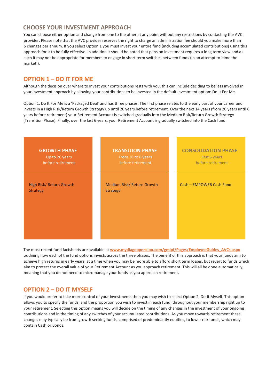## **CHOOSE YOUR INVESTMENT APPROACH**

You can choose either option and change from one to the other at any point without any restrictions by contacting the AVC provider. Please note that the AVC provider reserves the right to charge an administration fee should you make more than 6 changes per annum. If you select Option 1 you must invest your entire fund (including accumulated contributions) using this approach for it to be fully effective. In addition it should be noted that pension investment requires a long term view and as such it may not be appropriate for members to engage in short term switches between funds (in an attempt to 'time the market').

## **OPTION 1 – DO IT FOR ME**

Although the decision over where to invest your contributions rests with you, this can include deciding to be less involved in your investment approach by allowing your contributions to be invested in the default investment option: Do It For Me.

Option 1, Do It For Me is a 'Packaged Deal' and has three phases. The first phase relates to the early part of your career and invests in a High Risk/Return Growth Strategy up until 20 years before retirement. Over the next 14 years (from 20 years until 6 years before retirement) your Retirement Account is switched gradually into the Medium Risk/Return Growth Strategy (Transition Phase). Finally, over the last 6 years, your Retirement Account is gradually switched into the Cash fund.



The most recent fund factsheets are available at **[www.mydiageopension.com/gmipf/Pages/EmployeeGuides\\_AVCs.aspx](http://www.mydiageopension.com/gmipf/Pages/EmployeeGuides_AVCs.aspx)** outlining how each of the fund options invests across the three phases. The benefit of this approach is that your funds aim to achieve high returns in early years, at a time when you may be more able to afford short term losses, but revert to funds which aim to protect the overall value of your Retirement Account as you approach retirement. This will all be done automatically, meaning that you do not need to micromanage your funds as you approach retirement.

## **OPTION 2 – DO IT MYSELF**

If you would prefer to take more control of your investments then you may wish to select Option 2, Do It Myself. This option allows you to specify the funds, and the proportion you wish to invest in each fund, throughout your membership right up to your retirement. Selecting this option means you will decide on the timing of any changes in the investment of your ongoing contributions and in the timing of any switches of your accumulated contributions. As you move towards retirement these changes may typically be from growth seeking funds, comprised of predominantly equities, to lower risk funds, which may contain Cash or Bonds.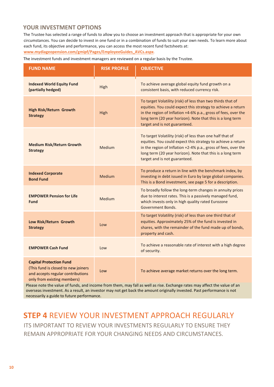## **YOUR INVESTMENT OPTIONS**

The Trustee has selected a range of funds to allow you to choose an investment approach that is appropriate for your own circumstances. You can decide to invest in one fund or in a combination of funds to suit your own needs. To learn more about each fund, its objective and performance, you can access the most recent fund factsheets at:

**[www.mydiageopension.com/gmipf/Pages/EmployeeGuides\\_AVCs.aspx](http://www.mydiageopension.com/gmipf/Pages/EmployeeGuides_AVCs.aspx)**.

The investment funds and investment managers are reviewed on a regular basis by the Trustee.

| <b>FUND NAME</b>                                                                                                                          | <b>RISK PROFILE</b> | <b>OBJECTIVE</b>                                                                                                                                                                                                                                                                             |  |
|-------------------------------------------------------------------------------------------------------------------------------------------|---------------------|----------------------------------------------------------------------------------------------------------------------------------------------------------------------------------------------------------------------------------------------------------------------------------------------|--|
| <b>Indexed World Equity Fund</b><br>(partially hedged)                                                                                    | High                | To achieve average global equity fund growth on a<br>consistent basis, with reduced currency risk.                                                                                                                                                                                           |  |
| <b>High Risk/Return Growth</b><br><b>Strategy</b>                                                                                         | High                | To target Volatility (risk) of less than two thirds that of<br>equities. You could expect this strategy to achieve a return<br>in the region of Inflation +4-6% p.a., gross of fees, over the<br>long term (20 year horizon). Note that this is a long term<br>target and is not guaranteed. |  |
| <b>Medium Risk/Return Growth</b><br><b>Strategy</b>                                                                                       | Medium              | To target Volatility (risk) of less than one half that of<br>equities. You could expect this strategy to achieve a return<br>in the region of Inflation +2-4% p.a., gross of fees, over the<br>long term (20 year horizon). Note that this is a long term<br>target and is not guaranteed.   |  |
| <b>Indexed Corporate</b><br><b>Bond Fund</b>                                                                                              | Medium              | To produce a return in line with the benchmark index, by<br>investing in debt issued in Euro by large global companies.<br>This is a Bond investment, see page 5 for a description.                                                                                                          |  |
| <b>EMPOWER Pension for Life</b><br><b>Fund</b>                                                                                            | Medium              | To broadly follow the long-term changes in annuity prices<br>due to interest rates. This is a passively managed fund,<br>which invests only in high quality rated Eurozone<br>Government Bonds.                                                                                              |  |
| Low Risk/Return Growth<br><b>Strategy</b>                                                                                                 | Low                 | To target Volatility (risk) of less than one third that of<br>equities. Approximately 25% of the fund is invested in<br>shares, with the remainder of the fund made up of bonds,<br>property and cash.                                                                                       |  |
| <b>EMPOWER Cash Fund</b>                                                                                                                  | Low                 | To achieve a reasonable rate of interest with a high degree<br>of security.                                                                                                                                                                                                                  |  |
| <b>Capital Protection Fund</b><br>(This fund is closed to new joiners<br>and accepts regular contributions<br>only from existing members) | Low                 | To achieve average market returns over the long term.                                                                                                                                                                                                                                        |  |

Please note the value of funds, and income from them, may fall as well as rise. Exchange rates may affect the value of an overseas investment. As a result, an investor may not get back the amount originally invested. Past performance is not necessarily a guide to future performance.

## **STEP 4** REVIEW YOUR INVESTMENT APPROACH REGULARLY

ITS IMPORTANT TO REVIEW YOUR INVESTMENTS REGULARLY TO ENSURE THEY REMAIN APPROPRIATE FOR YOUR CHANGING NEEDS AND CIRCUMSTANCES.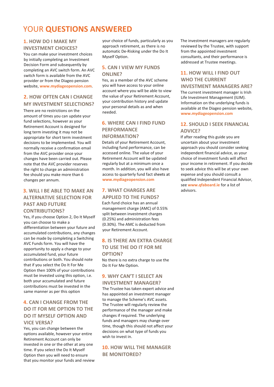## YOUR **QUESTIONS ANSWERED**

## **1. HOW DO I MAKE MY INVESTMENT CHOICES?**

You can make your investment choices by initially completing an Investment Decision Form and subsequently by completing an AVC switch form. An AVC switch form is available from the AVC provider or from the Diageo pension website, **[www.mydiageopension.com](http://www.mydiageopension.com/)**.

## **2. HOW OFTEN CAN I CHANGE**

**MY INVESTMENT SELECTIONS?**  There are no restrictions on the amount of times you can update your fund selections, however as your Retirement Account is designed for long term investing it may not be appropriate for short term investment decisions to be implemented. You will normally receive a confirmation email from the AVC provider once your changes have been carried out. Please note that the AVC provider reserves the right to charge an administration fee should you make more than 6 changes per annum.

## **3. WILL I BE ABLE TO MAKE AN ALTERNATIVE SELECTION FOR PAST AND FUTURE CONTRIBUTIONS?**

Yes, if you choose Option 2, Do It Myself you can choose to make a differentiation between your future and accumulated contributions, any changes can be made by completing a Switching AVC Funds form. You will have the opportunity to apply a change to your accumulated fund, your future contributions or both. You should note that if you select the Do It For Me Option then 100% of your contributions must be invested using this option, i.e. both your accumulated and future contributions must be invested in the same manner as per this option

## **4. CAN I CHANGE FROM THE DO IT FOR ME OPTION TO THE DO IT MYSELF OPTION AND VICE VERSA?**

Yes, you can change between the options available, however your entire Retirement Account can only be invested in one or the other at any one time. If you select the Do It Myself Option then you will need to ensure that you monitor your funds and review your choice of funds, particularly as you approach retirement, as there is no automatic De-Risking under the Do It Myself Option.

### **5. CAN I VIEW MY FUNDS ONLINE?**

Yes, as a member of the AVC scheme you will have access to your online account where you will be able to view the value of your Retirement Account, your contribution history and update your personal details as and when needed.

## **6. WHERE CAN I FIND FUND PERFORMANCE**

#### **INFORMATION?**

Details of your Retirement Account, including fund performance, can be accessed online. The value of your Retirement Account will be updated regularly but at a minimum once a month. In addition, you will also have access to quarterly fund fact sheets at **[www.mydiageopension.com](http://www.mydiageopension.com/)**

### **7. WHAT CHARGES ARE APPLIED TO THE FUNDS?**

Each fund choice has an annual management charge (AMC) of 0.55% split between investment charges (0.25%) and administration fees (0.30%). The AMC is deducted from your Retirement Account.

## **8. IS THERE AN EXTRA CHARGE TO USE THE DO IT FOR ME OPTION?**

No there is no extra charge to use the Do It For Me Option.

## **9. WHY CAN'T I SELECT AN INVESTMENT MANAGER?**

The Trustee has taken expert advice and has appointed an investment manager to manage the Scheme's AVC assets. The Trustee will regularly review the performance of the manager and make changes if required. The underlying funds and managers may change over time, though this should not affect your decisions on what type of funds you wish to invest in.

### **10. HOW WILL THE MANAGER BE MONITORED?**

The investment managers are regularly reviewed by the Trustee, with support from the appointed investment consultants, and their performance is addressed at Trustee meetings.

### **11. HOW WILL I FIND OUT WHO THE CURRENT INVESTMENT MANAGERS ARE?**

The current investment manager is Irish Life Investment Management (ILIM). Information on the underlying funds is available at the Diageo pension website, **[www.mydiageopension.com](http://www.mydiageopension.com/)**

## **12. SHOULD I SEEK FINANCIAL ADVICE?**

If after reading this guide you are uncertain about your investment approach you should consider seeking independent financial advice, as your choice of investment funds will affect your income in retirement. If you decide to seek advice this will be at your own expense and you should consult a qualified Independent Financial Advisor, see **www.qfaboard.ie** for a list of advisors.